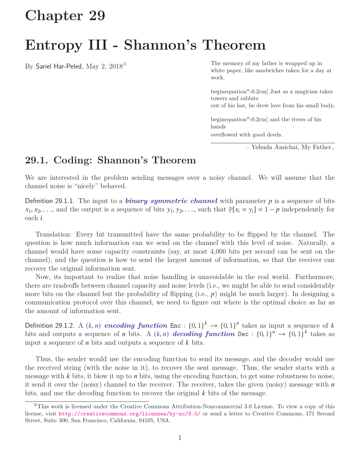## **Chapter 29**

# **Entropy III - Shannon's Theorem**

By Sariel Har-Peled, May 2,  $2018^{\circ}$  The memory of my father is wrapped up in white paper, like sandwiches taken for a day at work.

> beginequation\*-0.2cm] Just as a magician takes towers and rabbits out of his hat, he drew love from his small body,

beginequation\*-0.2cm] and the rivers of his hands overflowed with good deeds.

– Yehuda Amichai, My Father.,

## **29.1. Coding: Shannon's Theorem**

We are interested in the problem sending messages over a noisy channel. We will assume that the channel noise is "nicely" behaved.

Definition 29.1.1. The input to a *binary symmetric channel* with parameter *p* is a sequence of bits  $x_1, x_2, \ldots$ , and the output is a sequence of bits  $y_1, y_2, \ldots$ , such that  $\mathbb{P}[x_i = y_i] = 1 - p$  independently for each *i*.

Translation: Every bit transmitted have the same probability to be flipped by the channel. The question is how much information can we send on the channel with this level of noise. Naturally, a channel would have some capacity constraints (say, at most 4,000 bits per second can be sent on the channel), and the question is how to send the largest amount of information, so that the receiver can recover the original information sent.

Now, its important to realize that noise handling is unavoidable in the real world. Furthermore, there are tradeoffs between channel capacity and noise levels (i.e., we might be able to send considerably more bits on the channel but the probability of flipping (i.e., *p*) might be much larger). In designing a communication protocol over this channel, we need to figure out where is the optimal choice as far as the amount of information sent.

Definition 29.1.2. A  $(k, n)$  *encoding function* Enc :  $\{0, 1\}$ <br>bits and outputs a soquence of *n* bits  $A(k, n)$  decoding  $f(x) \to \{0, 1\}^n$  takes as input a sequence of *k*<br>**function**  $\text{Dec} : \{0, 1\}^n \to \{0, 1\}^k$  takes as bits and outputs a sequence of *n* bits. A  $(k, n)$  **decoding function** Dec:  $\{0, 1\}^n \rightarrow \{0, 1\}^k$  takes as input a sequence of *n* bits and outputs a sequence of *k* bits.

Thus, the sender would use the encoding function to send its message, and the decoder would use the received string (with the noise in it), to recover the sent message. Thus, the sender starts with a message with *k* bits, it blow it up to *n* bits, using the encoding function, to get some robustness to noise, it send it over the (noisy) channel to the receiver. The receiver, takes the given (noisy) message with *n* bits, and use the decoding function to recover the original *k* bits of the message.

<span id="page-0-0"></span> $^{\circ}$ This work is licensed under the Creative Commons Attribution-Noncommercial 3.0 License. To view a copy of this license, visit <http://creativecommons.org/licenses/by-nc/3.0/> or send a letter to Creative Commons, 171 Second Street, Suite 300, San Francisco, California, 94105, USA.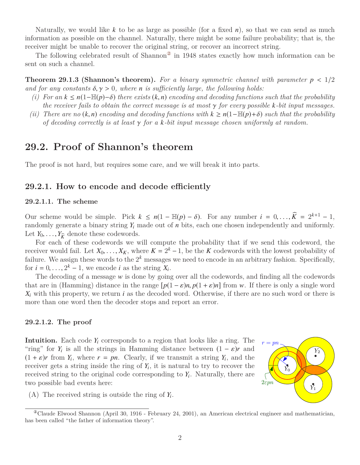Naturally, we would like  $k$  to be as large as possible (for a fixed  $n$ ), so that we can send as much information as possible on the channel. Naturally, there might be some failure probability; that is, the receiver might be unable to recover the original string, or recover an incorrect string.

The following celebrated result of Shannon<sup>®</sup> in 1948 states exactly how much information can be sent on such a channel.

<span id="page-1-1"></span>**Theorem 29.1.3 (Shannon's theorem).** For a binary symmetric channel with parameter  $p < 1/2$ *and for any constants*  $\delta$ ,  $\gamma > 0$ , where *n is sufficiently large, the following holds:* 

- *(i) For an <sup>k</sup>* <sup>≤</sup> *<sup>n</sup>*(1−H(*p*)−δ) *there exists* (*k*, *<sup>n</sup>*) *encoding and decoding functions such that the probability the receiver fails to obtain the correct message is at most* γ *for every possible <sup>k</sup>-bit input messages.*
- *(ii) There are no*  $(k, n)$  *encoding and decoding functions with*  $k \geq n(1 \mathbb{H}(p) + \delta)$  *such that the probability of decoding correctly is at least* γ *for a <sup>k</sup>-bit input message chosen uniformly at random.*

## **29.2. Proof of Shannon's theorem**

The proof is not hard, but requires some care, and we will break it into parts.

#### **29.2.1. How to encode and decode efficiently**

#### **29.2.1.1. The scheme**

Our scheme would be simple. Pick  $k \leq n(1 - \mathbb{H}(p) - \delta)$ . For any number  $i = 0, \ldots, \widehat{K} = 2^{k+1} - 1$ , randomly generate a binary string *Y* made out of *n* bits each one chosen independently and uniformly randomly generate a binary string *Y<sup>i</sup>* made out of *n* bits, each one chosen independently and uniformly. Let  $Y_0, \ldots, Y_{\widehat{K}}$  denote these codewords.

For each of these codewords we will compute the probability that if we send this codeword, the receiver would fail. Let  $X_0, \ldots, X_K$ , where  $K = 2^k - 1$ , be the *K* codewords with the lowest probability of failure. We assign these words to the  $2^k$  messages we need to encode in an arbitrary fashion. Specifically failure. We assign these words to the  $2^k$  messages we need to encode in an arbitrary fashion. Specifically, for  $i = 0, ..., 2^k - 1$ , we encode *i* as the string  $X_i$ .<br>The decoding of a message *w* is done by going

The decoding of a message w is done by going over all the codewords, and finding all the codewords that are in (Hamming) distance in the range  $[p(1-\varepsilon)n, p(1+\varepsilon)n]$  from w. If there is only a single word  $X_i$  with this property, we return *i* as the decoded word. Otherwise, if there are no such word or there is more than one word then the decoder stops and report an error.

#### **29.2.1.2. The proof**

**Intuition.** Each code *Y<sup>i</sup>* corresponds to a region that looks like a ring. The "ring" for *Y<sub>i</sub>* is all the strings in Hamming distance between  $(1 - \varepsilon)r$  and  $(1 + \varepsilon)r$  from *Y<sub>i</sub>* where  $r = m$ . Clearly if we transmit a string *Y<sub>i</sub>* and the  $(1 + \varepsilon)r$  from  $Y_i$ , where  $r = pn$ . Clearly, if we transmit a string  $Y_i$ , and the receiver gets a string inside the ring of  $Y_i$  it is natural to try to recover the receiver gets a string inside the ring of  $Y_i$ , it is natural to try to recover the received string to the original code corresponding to *Y<sup>i</sup>* . Naturally, there are two possible bad events here:



(A) The received string is outside the ring of  $Y_i$ .

<span id="page-1-0"></span> $^{\circ}$ Claude Elwood Shannon (April 30, 1916 - February 24, 2001), an American electrical engineer and mathematician, has been called "the father of information theory".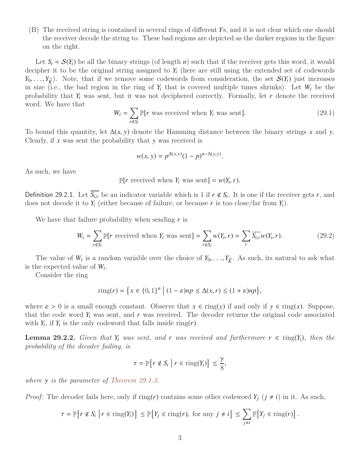(B) The received string is contained in several rings of different *Y*s, and it is not clear which one should the receiver decode the string to. These bad regions are depicted as the darker regions in the figure on the right.

Let  $S_i = S(Y_i)$  be all the binary strings (of length *n*) such that if the receiver gets this word, it would decipher it to be the original string assigned to *Y<sup>i</sup>* (here are still using the extended set of codewords  $Y_0, \ldots, Y_{\tilde{K}}$ ). Note, that if we remove some codewords from consideration, the set  $\mathcal{S}(Y_i)$  just increases in size (i.e., the bad region in the ring of  $Y_i$  that is covered multiple times shrinks). Let  $W_i$  be the probability that *Y<sup>i</sup>* was sent, but it was not deciphered correctly. Formally, let *r* denote the received word. We have that

<span id="page-2-2"></span>
$$
W_i = \sum_{r \notin S_i} \mathbb{P}[r \text{ was received when } Y_i \text{ was sent}]. \tag{29.1}
$$

To bound this quantity, let <sup>∆</sup>(*x*, <sup>y</sup>) denote the Hamming distance between the binary strings *<sup>x</sup>* and <sup>y</sup>. Clearly, if *x* was sent the probability that y was received is

$$
w(x, y) = p^{\Delta(x, y)} (1 - p)^{n - \Delta(x, y)}.
$$

As such, we have

<span id="page-2-3"></span> $\mathbb{P}[r \text{ received when } Y_i \text{ was sent}] = w(Y_i, r).$ 

<span id="page-2-0"></span>Definition 29.2.1. Let  $\overline{S_{i,r}}$  be an indicator variable which is 1 if  $r \notin S_i$ . It is one if the receiver gets *r*, and does not decode it to *Y* (either because of foilure, or because *r* is too close (for from *Y*) does not decode it to  $Y_i$  (either because of failure, or because r is too close/far from  $Y_i$ ).

We have that failure probability when sending *r* is

$$
W_i = \sum_{r \notin S_i} \mathbb{P}[r \text{ received when } Y_i \text{ was sent}] = \sum_{r \notin S_i} w(Y_i, r) = \sum_{r} \overline{S_{i,r}} w(Y_i, r). \tag{29.2}
$$

The value of  $W_i$  is a random variable over the choice of  $Y_0, \ldots, Y_{\widehat{K}}$ . As such, its natural to ask what the expected value of  $W_i$ . is the expected value of *W<sup>i</sup>* .

Consider the ring

$$
ring(r) = \left\{ x \in \{0,1\}^n \mid (1 - \varepsilon)np \le \Delta(x,r) \le (1 + \varepsilon)np \right\},\
$$

where  $\varepsilon > 0$  is a small enough constant. Observe that  $x \in \text{ring}(y)$  if and only if  $y \in \text{ring}(x)$ . Suppose, that the code word  $Y_i$  was sent, and  $r$  was received. The decoder returns the original code associated with  $Y_i$ , if  $Y_i$  is the only codeword that falls inside ring(*r*).

<span id="page-2-1"></span>**Lemma 29.2.2.** *Given that*  $Y_i$  *was sent, and*  $r$  *was received and furthermore*  $r \in \text{ring}(Y_i)$ *, then the probability of the decoder failing, is*

$$
\tau = \mathbb{P}\big[r \notin S_i \mid r \in \mathrm{ring}(Y_i)\big] \leq \frac{\gamma}{8},
$$

*where* γ *is the parameter of [Theorem 29.1.3.](#page-1-1)*

*Proof:* The decoder fails here, only if ring(*r*) contains some other codeword  $Y_i$  ( $j \neq i$ ) in it. As such,

$$
\tau = \mathbb{P}\big[r \notin S_i \; \big| \; r \in \text{ring}(Y_i)\big] \leq \mathbb{P}\big[Y_j \in \text{ring}(r), \text{ for any } j \neq i\big] \leq \sum_{j \neq i} \mathbb{P}\big[Y_j \in \text{ring}(r)\big].
$$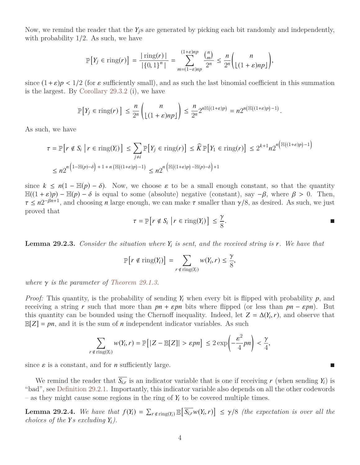Now, we remind the reader that the  $Y_i$ <sup>s</sup> are generated by picking each bit randomly and independently, with probability  $1/2$ . As such, we have

$$
\mathbb{P}\big[Y_j \in \text{ring}(r)\big] = \frac{|\text{ring}(r)|}{|\{0,1\}^n|} = \sum_{m=(1-\varepsilon)np}^{(1+\varepsilon)np} \frac{{n \choose m}}{2^n} \le \frac{n}{2^n} {n \choose \lfloor (1+\varepsilon)np \rfloor},
$$

since  $(1+\varepsilon)p < 1/2$  (for  $\varepsilon$  sufficiently small), and as such the last binomial coefficient in this summation is the largest. By [Corollary 29.3.2](#page-5-0) (i), we have

$$
\mathbb{P}\Big[Y_j \in \text{ring}(r)\Big] \leq \frac{n}{2^n} \binom{n}{\lfloor (1+\varepsilon)np \rfloor} \leq \frac{n}{2^n} 2^{n \mathbb{H}\left((1+\varepsilon)p\right)} = n 2^{n \left(\mathbb{H}\left((1+\varepsilon)p\right)-1\right)}.
$$

As such, we have

$$
\tau = \mathbb{P}\Big[r \notin S_i \mid r \in \text{ring}(Y_i)\Big] \le \sum_{j \neq i} \mathbb{P}\Big[Y_j \in \text{ring}(r)\Big] \le \widehat{K} \mathbb{P}\Big[Y_1 \in \text{ring}(r)\Big] \le 2^{k+1} n 2^{n \left(\mathbb{H}((1+\varepsilon)p)-1\right)}
$$
  

$$
\le n 2^{n \left(1-\mathbb{H}(p)-\delta\right)+1+n \left(\mathbb{H}((1+\varepsilon)p)-1\right)} \le n 2^{n \left(\mathbb{H}((1+\varepsilon)p)-\mathbb{H}(p)-\delta\right)+1}
$$

since  $k \leq n(1 - \mathbb{H}(p) - \delta)$ . Now, we choose  $\varepsilon$  to be a small enough constant, so that the quantity  $\mathbb{H}((1+\varepsilon)p)-\mathbb{H}(p)-\delta$  is equal to some (absolute) negative (constant), say  $-\beta$ , where  $\beta > 0$ . Then,  $\tau \leq n2^{-\beta n+1}$ , and choosing *n* large enough, we can make  $\tau$  smaller than  $\gamma/8$ , as desired. As such, we just<br>proved that proved that

$$
\tau = \mathbb{P}\big[r \notin S_i \; \big| \; r \in \text{ring}(Y_i)\big] \leq \frac{\gamma}{8}.
$$

<span id="page-3-0"></span>**Lemma 29.2.3.** *Consider the situation where Y<sup>i</sup> is sent, and the received string is r. We have that*

$$
\mathbb{P}\big[r \notin \mathrm{ring}(Y_i)\big] = \sum_{r \notin \mathrm{ring}(Y_i)} w(Y_i, r) \leq \frac{\gamma}{8},
$$

*where* γ *is the parameter of [Theorem 29.1.3.](#page-1-1)*

*Proof:* This quantity, is the probability of sending  $Y_i$  when every bit is flipped with probability  $p$ , and receiving a string *r* such that more than  $pn + \varepsilon pn$  bits where flipped (or less than  $pn - \varepsilon pn$ ). But this quantity can be bounded using the Chernoff inequality. Indeed, let  $Z = \Delta(Y_i, r)$ , and observe that  $\mathbb{E}[Z] = np$  and it is the sum of *n* independent indicator variables. As such  $\mathbb{E}[Z] = pn$ , and it is the sum of *n* independent indicator variables. As such

$$
\sum_{r \notin \text{ring}(Y_i)} w(Y_i, r) = \mathbb{P}\big[ |Z - \mathbb{E}[Z]| > \varepsilon p n \big] \leq 2 \exp\left(-\frac{\varepsilon^2}{4} p n\right) < \frac{\gamma}{4},
$$

since  $\varepsilon$  is a constant, and for *n* sufficiently large.

We remind the reader that  $S_{i,r}$  is an indicator variable that is one if receiving  $r$  (when sending  $Y_i$ ) is  $d$ <sup>*n*</sup>, as Definition 20.2.1. Importantly, this indicator variable also depends on all the other sedemands "bad", see [Definition 29.2.1.](#page-2-0) Importantly, this indicator variable also depends on all the other codewords – as they might cause some regions in the ring of  $Y_i$  to be covered multiple times.

<span id="page-3-1"></span>**Lemma 29.2.4.** We have that  $f(Y_i) = \sum_{r \notin \text{ring}(Y_i)} \mathbb{E} \left[ \overline{S_{i,r}} w(Y_i, r) \right] \leq \gamma/8$  (the expectation is over all the choices of the *Y*<sub>s</sub> excluding</sub> *Y*.) *choices of the*  $\gamma$ *s excluding*  $Y_i$ *).*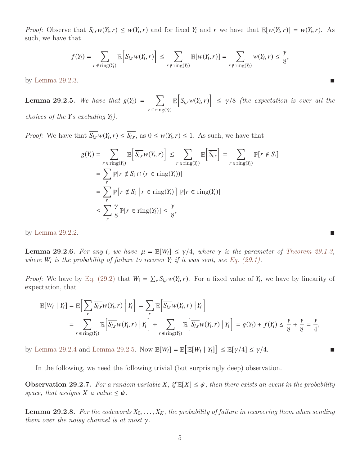*Proof:* Observe that  $\overline{S_{i,r}}w(Y_i,r) \leq w(Y_i,r)$  and for fixed  $Y_i$  and  $r$  we have that  $\mathbb{E}[w(Y_i,r)] = w(Y_i,r)$ . As such, we have that

$$
f(Y_i) = \sum_{r \notin \text{ring}(Y_i)} \mathbb{E}\Big[\overline{S_{i,r}}w(Y_i,r)\Big] \leq \sum_{r \notin \text{ring}(Y_i)} \mathbb{E}[w(Y_i,r)] = \sum_{r \notin \text{ring}(Y_i)} w(Y_i,r) \leq \frac{\gamma}{8},
$$

by [Lemma 29.2.3.](#page-3-0)

<span id="page-4-0"></span>**Lemma 29.2.5.** We have that  $g(Y_i) = \sum$  $r \in \text{ring}(Y_i)$  $\mathbb{E}\left[\overline{S_{i,r}}w(Y_i,r)\right] \leq \gamma/8$  *(the expectation is over all the choices of the*  $Y_s$  *excluding*  $Y_i$ *).* 

*Proof:* We have that  $S_{i,r}w(Y_i, r) \leq S_{i,r}$ , as  $0 \leq w(Y_i, r) \leq 1$ . As such, we have that

$$
g(Y_i) = \sum_{r \in \text{ring}(Y_i)} \mathbb{E} \Big[ \overline{S_{i,r}} w(Y_i, r) \Big] \le \sum_{r \in \text{ring}(Y_i)} \mathbb{E} \Big[ \overline{S_{i,r}} \Big] = \sum_{r \in \text{ring}(Y_i)} \mathbb{P} \Big[ r \notin S_i \Big]
$$
  
= 
$$
\sum_{r} \mathbb{P} \Big[ r \notin S_i \cap (r \in \text{ring}(Y_i)) \Big]
$$
  
= 
$$
\sum_{r} \mathbb{P} \Big[ r \notin S_i \Big| r \in \text{ring}(Y_i) \Big] \mathbb{P} \Big[ r \in \text{ring}(Y_i) \Big]
$$
  

$$
\le \sum_{r} \frac{\gamma}{8} \mathbb{P} \Big[ r \in \text{ring}(Y_i) \Big] \le \frac{\gamma}{8},
$$

by [Lemma 29.2.2.](#page-2-1)

<span id="page-4-1"></span>**Lemma 29.2.6.** For any *i*, we have  $\mu = \mathbb{E}[W_i] \leq \gamma/4$ , where  $\gamma$  is the parameter of [Theorem 29.1.3,](#page-1-1) *where*  $W_i$  *is the probability of failure to recover*  $Y_i$  *if it was sent, see [Eq. \(29.1\).](#page-2-2)* 

*Proof:* We have by [Eq. \(29.2\)](#page-2-3) that  $W_i = \sum_{r} \overline{S_{i,r}} w(Y_i, r)$ . For a fixed value of  $Y_i$ , we have by linearity of expectation that expectation, that

$$
\mathbb{E}[W_i \mid Y_i] = \mathbb{E}\Big[\sum_r \overline{S_{i,r}} w(Y_i, r) \mid Y_i\Big] = \sum_r \mathbb{E}\Big[\overline{S_{i,r}} w(Y_i, r) \mid Y_i\Big]
$$
  
= 
$$
\sum_{r \in \text{ring}(Y_i)} \mathbb{E}\Big[\overline{S_{i,r}} w(Y_i, r) \mid Y_i\Big] + \sum_{r \notin \text{ring}(Y_i)} \mathbb{E}\Big[\overline{S_{i,r}} w(Y_i, r) \mid Y_i\Big] = g(Y_i) + f(Y_i) \le \frac{\gamma}{8} + \frac{\gamma}{8} = \frac{\gamma}{4},
$$

by [Lemma 29.2.4](#page-3-1) and [Lemma 29.2.5.](#page-4-0) Now  $\mathbb{E}[W_i] = \mathbb{E}[\mathbb{E}[W_i | Y_i]] \leq \mathbb{E}[\gamma/4] \leq \gamma/4$ .

In the following, we need the following trivial (but surprisingly deep) observation.

<span id="page-4-2"></span>**Observation 29.2.7.** For a random variable X, if  $\mathbb{E}[X] \leq \psi$ , then there exists an event in the probability *space, that assigns*  $X$  *a value*  $\leq \psi$ *.* 

<span id="page-4-3"></span>**Lemma 29.2.8.** For the codewords  $X_0, \ldots, X_K$ , the probability of failure in recovering them when sending *them over the noisy channel is at most* γ*.*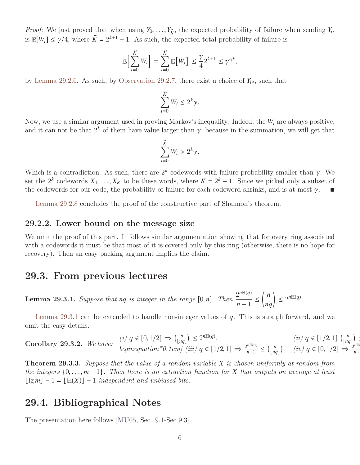*Proof:* We just proved that when using  $Y_0, \ldots, Y_{\widehat{K}}$ , the expected probability of failure when sending  $Y_i$ ,  $\vdots$   $\mathbb{F}^{[W]}$ ,  $\leq \mathbb{F}^{[W]}$ ,  $\leq \mathbb{F}^{[W]}$ ,  $\leq \mathbb{F}^{[W]}$ ,  $\leq \mathbb{F}^{[W]}$ ,  $\leq \mathbb{F}^{[W]}$ is  $\mathbb{E}[W_i] \leq \gamma/4$ , where  $\widehat{K} = 2^{k+1} - 1$ . As such, the expected total probability of failure is

$$
\mathbb{E}\Big[\sum_{i=0}^{\widehat{K}} W_i\Big] = \sum_{i=0}^{\widehat{K}} \mathbb{E}\big[W_i\big] \le \frac{\gamma}{4} 2^{k+1} \le \gamma 2^k,
$$

by [Lemma 29.2.6.](#page-4-1) As such, by [Observation 29.2.7,](#page-4-2) there exist a choice of *Yi*s, such that

$$
\sum_{i=0}^{\widehat{K}} W_i \le 2^k \gamma.
$$

Now, we use a similar argument used in proving Markov's inequality. Indeed, the *W<sup>i</sup>* are always positive, and it can not be that  $2^k$  of them have value larger than  $\gamma$ , because in the summation, we will get that

$$
\sum_{i=0}^{\widehat{K}} W_i > 2^k \gamma.
$$

Which is a contradiction. As such, there are  $2^k$  codewords with failure probability smaller than  $\gamma$ . We<br>set the  $2^k$  codewords  $Y_0$ ,  $Y_{\alpha}$  to be these words, where  $K = 2^k - 1$ . Since we picked only a subset of set the  $2^k$  codewords  $X_0, \ldots, X_K$  to be these words, where  $K = 2^k - 1$ . Since we picked only a subset of the codewords for our code, the probability of failure for each codeword shrinks, and is at most  $\chi$ the codewords for our code, the probability of failure for each codeword shrinks, and is at most  $\gamma$ .

[Lemma 29.2.8](#page-4-3) concludes the proof of the constructive part of Shannon's theorem.

#### **29.2.2. Lower bound on the message size**

We omit the proof of this part. It follows similar argumentation showing that for every ring associated with a codewords it must be that most of it is covered only by this ring (otherwise, there is no hope for recovery). Then an easy packing argument implies the claim.

### **29.3. From previous lectures**

<span id="page-5-1"></span>**Lemma 29.3.1.** *Suppose that nq is integer in the range* [0, *n*]*. Then*  $\frac{2^{nH(q)}}{n+1}$ *n* + 1 ≤  $\binom{n}{nq}$  $\leq 2^{n\mathbb{H}(q)}$ .

<span id="page-5-0"></span>[Lemma 29.3.1](#page-5-1) can be extended to handle non-integer values of *q*. This is straightforward, and we omit the easy details.

Corollary 29.3.2. We have:   
\n
$$
\begin{array}{ll}\n(i) \ q \in [0, 1/2] \Rightarrow \binom{n}{\lfloor nq \rfloor} \le 2^{n \mathbb{H}(q)}.\n\end{array}
$$
\n
$$
\begin{array}{ll}\n(ii) \ q \in [1/2, 1] \binom{n}{\lceil nq \rceil} \le 2^{n \mathbb{H}(q)}.\n\end{array}
$$
\n
$$
\begin{array}{ll}\n(ii) \ q \in [1/2, 1] \binom{n}{\lceil nq \rceil} \le 2^{n \mathbb{H}(q)}.\n\end{array}
$$
\n
$$
\begin{array}{ll}\n(ii) \ q \in [1/2, 1] \binom{n}{\lceil nq \rceil} \le 2^{n \mathbb{H}(q)}.\n\end{array}
$$

≤ 2

**Theorem 29.3.3.** *Suppose that the value of a random variable X is chosen uniformly at random from the integers* {0, . . ., *<sup>m</sup>* <sup>−</sup> <sup>1</sup>}*. Then there is an extraction function for <sup>X</sup> that outputs on average at least*  $\lfloor \lg m \rfloor - 1 = \lfloor \mathbb{H}(X) \rfloor - 1$  *independent and unbiased bits.* 

### **29.4. Bibliographical Notes**

The presentation here follows [\[MU05,](#page-6-0) Sec. 9.1-Sec 9.3].